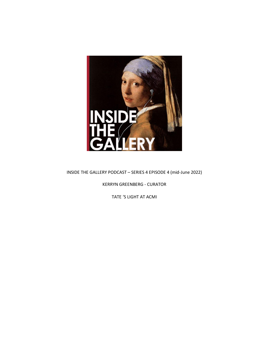

INSIDE THE GALLERY PODCAST – SERIES 4 EPISODE 4 (mid-June 2022)

KERRYN GREENBERG - CURATOR

TATE 'S LIGHT AT ACMI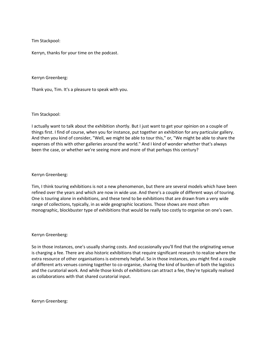Tim Stackpool:

Kerryn, thanks for your time on the podcast.

Kerryn Greenberg:

Thank you, Tim. It's a pleasure to speak with you.

Tim Stackpool:

I actually want to talk about the exhibition shortly. But I just want to get your opinion on a couple of things first. I find of course, when you for instance, put together an exhibition for any particular gallery. And then you kind of consider, "Well, we might be able to tour this," or, "We might be able to share the expenses of this with other galleries around the world." And I kind of wonder whether that's always been the case, or whether we're seeing more and more of that perhaps this century?

### Kerryn Greenberg:

Tim, I think touring exhibitions is not a new phenomenon, but there are several models which have been refined over the years and which are now in wide use. And there's a couple of different ways of touring. One is touring alone in exhibitions, and these tend to be exhibitions that are drawn from a very wide range of collections, typically, in as wide geographic locations. Those shows are most often monographic, blockbuster type of exhibitions that would be really too costly to organise on one's own.

#### Kerryn Greenberg:

So in those instances, one's usually sharing costs. And occasionally you'll find that the originating venue is charging a fee. There are also historic exhibitions that require significant research to realize where the extra resource of other organisations is extremely helpful. So in those instances, you might find a couple of different arts venues coming together to co-organise, sharing the kind of burden of both the logistics and the curatorial work. And while those kinds of exhibitions can attract a fee, they're typically realised as collaborations with that shared curatorial input.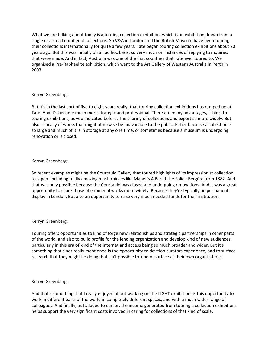What we are talking about today is a touring collection exhibition, which is an exhibition drawn from a single or a small number of collections. So V&A in London and the British Museum have been touring their collections internationally for quite a few years. Tate began touring collection exhibitions about 20 years ago. But this was initially on an ad hoc basis, so very much on instances of replying to inquiries that were made. And in fact, Australia was one of the first countries that Tate ever toured to. We organised a Pre-Raphaelite exhibition, which went to the Art Gallery of Western Australia in Perth in 2003.

# Kerryn Greenberg:

But it's in the last sort of five to eight years really, that touring collection exhibitions has ramped up at Tate. And it's become much more strategic and professional. There are many advantages, I think, to touring exhibitions, as you indicated before. The sharing of collections and expertise more widely. But also critically of works that might otherwise be unavailable to the public. Either because a collection is so large and much of it is in storage at any one time, or sometimes because a museum is undergoing renovation or is closed.

### Kerryn Greenberg:

So recent examples might be the Courtauld Gallery that toured highlights of its impressionist collection to Japan. Including really amazing masterpieces like Manet's A Bar at the Folies-Bergère from 1882. And that was only possible because the Courtauld was closed and undergoing renovations. And it was a great opportunity to share those phenomenal works more widely. Because they're typically on permanent display in London. But also an opportunity to raise very much needed funds for their institution.

# Kerryn Greenberg:

Touring offers opportunities to kind of forge new relationships and strategic partnerships in other parts of the world, and also to build profile for the lending organization and develop kind of new audiences, particularly in this era of kind of the internet and access being so much broader and wider. But it's something that's not really mentioned is the opportunity to develop curators experience, and to surface research that they might be doing that isn't possible to kind of surface at their own organisations.

#### Kerryn Greenberg:

And that's something that I really enjoyed about working on the LIGHT exhibition, is this opportunity to work in different parts of the world in completely different spaces, and with a much wider range of colleagues. And finally, as I alluded to earlier, the income generated from touring a collection exhibitions helps support the very significant costs involved in caring for collections of that kind of scale.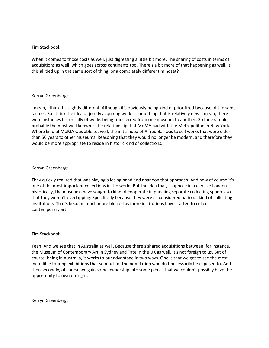# Tim Stackpool:

When it comes to those costs as well, just digressing a little bit more. The sharing of costs in terms of acquisitions as well, which goes across continents too. There's a bit more of that happening as well. Is this all tied up in the same sort of thing, or a completely different mindset?

# Kerryn Greenberg:

I mean, I think it's slightly different. Although it's obviously being kind of prioritized because of the same factors. So I think the idea of jointly acquiring work is something that is relatively new. I mean, there were instances historically of works being transferred from one museum to another. So for example, probably the most well known is the relationship that MoMA had with the Metropolitan in New York. Where kind of MoMA was able to, well, the initial idea of Alfred Bar was to sell works that were older than 50 years to other museums. Reasoning that they would no longer be modern, and therefore they would be more appropriate to reside in historic kind of collections.

# Kerryn Greenberg:

They quickly realized that was playing a losing hand and abandon that approach. And now of course it's one of the most important collections in the world. But the idea that, I suppose in a city like London, historically, the museums have sought to kind of cooperate in pursuing separate collecting spheres so that they weren't overlapping. Specifically because they were all considered national kind of collecting institutions. That's become much more blurred as more institutions have started to collect contemporary art.

#### Tim Stackpool:

Yeah. And we see that in Australia as well. Because there's shared acquisitions between, for instance, the Museum of Contemporary Art in Sydney and Tate in the UK as well. It's not foreign to us. But of course, being in Australia, it works to our advantage in two ways. One is that we get to see the most incredible touring exhibitions that so much of the population wouldn't necessarily be exposed to. And then secondly, of course we gain some ownership into some pieces that we couldn't possibly have the opportunity to own outright.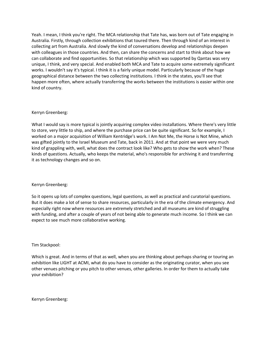Yeah. I mean, I think you're right. The MCA relationship that Tate has, was born out of Tate engaging in Australia. Firstly, through collection exhibitions that toured there. Then through kind of an interest in collecting art from Australia. And slowly the kind of conversations develop and relationships deepen with colleagues in those countries. And then, can share the concerns and start to think about how we can collaborate and find opportunities. So that relationship which was supported by Qantas was very unique, I think, and very special. And enabled both MCA and Tate to acquire some extremely significant works. I wouldn't say it's typical. I think it is a fairly unique model. Particularly because of the huge geographical distance between the two collecting institutions. I think in the states, you'll see that happen more often, where actually transferring the works between the institutions is easier within one kind of country.

### Kerryn Greenberg:

What I would say is more typical is jointly acquiring complex video installations. Where there's very little to store, very little to ship, and where the purchase price can be quite significant. So for example, I worked on a major acquisition of William Kentridge's work. I Am Not Me, the Horse is Not Mine, which was gifted jointly to the Israel Museum and Tate, back in 2011. And at that point we were very much kind of grappling with, well, what does the contract look like? Who gets to show the work when? These kinds of questions. Actually, who keeps the material, who's responsible for archiving it and transferring it as technology changes and so on.

# Kerryn Greenberg:

So it opens up lots of complex questions, legal questions, as well as practical and curatorial questions. But it does make a lot of sense to share resources, particularly in the era of the climate emergency. And especially right now where resources are extremely stretched and all museums are kind of struggling with funding, and after a couple of years of not being able to generate much income. So I think we can expect to see much more collaborative working.

#### Tim Stackpool:

Which is great. And in terms of that as well, when you are thinking about perhaps sharing or touring an exhibition like LIGHT at ACMI, what do you have to consider as the originating curator, when you see other venues pitching or you pitch to other venues, other galleries. In order for them to actually take your exhibition?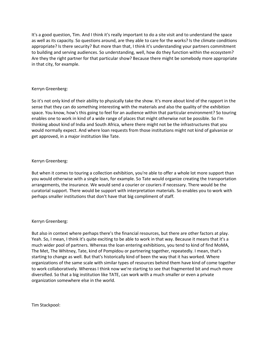It's a good question, Tim. And I think it's really important to do a site visit and to understand the space as well as its capacity. So questions around, are they able to care for the works? Is the climate conditions appropriate? Is there security? But more than that, I think it's understanding your partners commitment to building and serving audiences. So understanding, well, how do they function within the ecosystem? Are they the right partner for that particular show? Because there might be somebody more appropriate in that city, for example.

# Kerryn Greenberg:

So it's not only kind of their ability to physically take the show. It's more about kind of the rapport in the sense that they can do something interesting with the materials and also the quality of the exhibition space. You know, how's this going to feel for an audience within that particular environment? So touring enables one to work in kind of a wide range of places that might otherwise not be possible. So I'm thinking about kind of India and South Africa, where there might not be the infrastructures that you would normally expect. And where loan requests from those institutions might not kind of galvanize or get approved, in a major institution like Tate.

# Kerryn Greenberg:

But when it comes to touring a collection exhibition, you're able to offer a whole lot more support than you would otherwise with a single loan, for example. So Tate would organize creating the transportation arrangements, the insurance. We would send a courier or couriers if necessary. There would be the curatorial support. There would be support with interpretation materials. So enables you to work with perhaps smaller institutions that don't have that big compliment of staff.

# Kerryn Greenberg:

But also in context where perhaps there's the financial resources, but there are other factors at play. Yeah. So, I mean, I think it's quite exciting to be able to work in that way. Because it means that it's a much wider pool of partners. Whereas the loan entering exhibitions, you tend to kind of find MoMA, The Met, The Whitney, Tate, kind of Pompidou or partnering together, repeatedly. I mean, that's starting to change as well. But that's historically kind of been the way that it has worked. Where organizations of the same scale with similar types of resources behind them have kind of come together to work collaboratively. Whereas I think now we're starting to see that fragmented bit and much more diversified. So that a big institution like TATE, can work with a much smaller or even a private organization somewhere else in the world.

Tim Stackpool: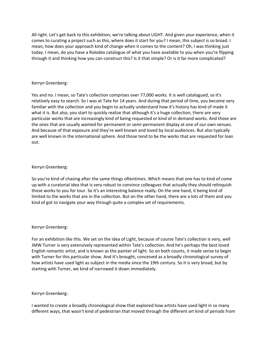All right. Let's get back to this exhibition, we're talking about LIGHT. And given your experience, when it comes to curating a project such as this, where does it start for you? I mean, this subject is so broad. I mean, how does your approach kind of change when it comes to the content? Oh, I was thinking just today. I mean, do you have a Rolodex catalogue of what you have available to you when you're flipping through it and thinking how you can construct this? Is it that simple? Or is it far more complicated?

### Kerryn Greenberg:

Yes and no. I mean, so Tate's collection comprises over 77,000 works. It is well catalogued, so it's relatively easy to search. So I was at Tate for 14 years. And during that period of time, you become very familiar with the collection and you begin to actually understand how it's history has kind of made it what it is. But also, you start to quickly realize that although it's a huge collection, there are very particular works that are increasingly kind of being requested or kind of in demand works. And those are the ones that are usually wanted for permanent or semi-permanent display at one of our own venues. And because of that exposure and they're well known and loved by local audiences. But also typically are well known in the international sphere. And those tend to be the works that are requested for loan out.

# Kerryn Greenberg:

So you're kind of chasing after the same things oftentimes. Which means that one has to kind of come up with a curatorial idea that is very robust to convince colleagues that actually they should relinquish those works to you for tour. So it's an interesting balance really. On the one hand, it being kind of limited to the works that are in the collection. But on the other hand, there are a lots of them and you kind of got to navigate your way through quite a complex set of requirements.

# Kerryn Greenberg:

For an exhibition like this. We set on the idea of Light, because of course Tate's collection is very, well JMW Turner is very extensively represented within Tate's collection. And he's perhaps the best loved English romantic artist, and is known as the painter of light. So on both counts, it made sense to begin with Turner for this particular show. And it's brought, conceived as a broadly chronological survey of how artists have used light as subject in the media since the 19th century. So it is very broad, but by starting with Turner, we kind of narrowed it down immediately.

#### Kerryn Greenberg:

I wanted to create a broadly chronological show that explored how artists have used light in so many different ways, that wasn't kind of pedestrian that moved through the different art kind of periods from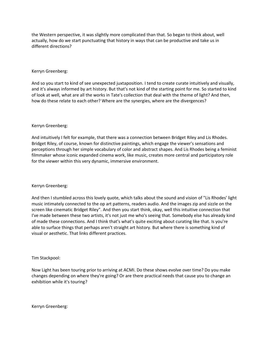the Western perspective, it was slightly more complicated than that. So began to think about, well actually, how do we start punctuating that history in ways that can be productive and take us in different directions?

### Kerryn Greenberg:

And so you start to kind of see unexpected juxtaposition. I tend to create curate intuitively and visually, and it's always informed by art history. But that's not kind of the starting point for me. So started to kind of look at well, what are all the works in Tate's collection that deal with the theme of light? And then, how do these relate to each other? Where are the synergies, where are the divergences?

### Kerryn Greenberg:

And intuitively I felt for example, that there was a connection between Bridget Riley and Lis Rhodes. Bridget Riley, of course, known for distinctive paintings, which engage the viewer's sensations and perceptions through her simple vocabulary of color and abstract shapes. And Lis Rhodes being a feminist filmmaker whose iconic expanded cinema work, like music, creates more central and participatory role for the viewer within this very dynamic, immersive environment.

# Kerryn Greenberg:

And then I stumbled across this lovely quote, which talks about the sound and vision of "Lis Rhodes' light music intimately connected to the op art patterns, readers audio. And the images zip and sizzle on the screen like cinematic Bridget Riley". And then you start think, okay, well this intuitive connection that I've made between these two artists, it's not just me who's seeing that. Somebody else has already kind of made these connections. And I think that's what's quite exciting about curating like that. Is you're able to surface things that perhaps aren't straight art history. But where there is something kind of visual or aesthetic. That links different practices.

# Tim Stackpool:

Now Light has been touring prior to arriving at ACMI. Do these shows evolve over time? Do you make changes depending on where they're going? Or are there practical needs that cause you to change an exhibition while it's touring?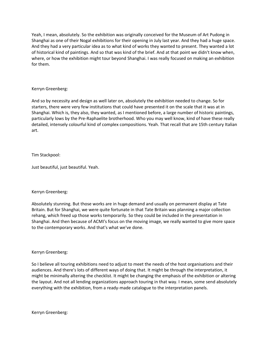Yeah, I mean, absolutely. So the exhibition was originally conceived for the Museum of Art Pudong in Shanghai as one of their Nogal exhibitions for their opening in July last year. And they had a huge space. And they had a very particular idea as to what kind of works they wanted to present. They wanted a lot of historical kind of paintings. And so that was kind of the brief. And at that point we didn't know when, where, or how the exhibition might tour beyond Shanghai. I was really focused on making an exhibition for them.

### Kerryn Greenberg:

And so by necessity and design as well later on, absolutely the exhibition needed to change. So for starters, there were very few institutions that could have presented it on the scale that it was at in Shanghai. Which is, they also, they wanted, as I mentioned before, a large number of historic paintings, particularly lows by the Pre-Raphaelite brotherhood. Who you may well know, kind of have these really detailed, intensely colourful kind of complex compositions. Yeah. That recall that are 15th century Italian art.

# Tim Stackpool:

Just beautiful, just beautiful. Yeah.

# Kerryn Greenberg:

Absolutely stunning. But those works are in huge demand and usually on permanent display at Tate Britain. But for Shanghai, we were quite fortunate in that Tate Britain was planning a major collection rehang, which freed up those works temporarily. So they could be included in the presentation in Shanghai. And then because of ACMI's focus on the moving image, we really wanted to give more space to the contemporary works. And that's what we've done.

# Kerryn Greenberg:

So I believe all touring exhibitions need to adjust to meet the needs of the host organisations and their audiences. And there's lots of different ways of doing that. It might be through the interpretation, it might be minimally altering the checklist. It might be changing the emphasis of the exhibition or altering the layout. And not all lending organizations approach touring in that way. I mean, some send absolutely everything with the exhibition, from a ready-made catalogue to the interpretation panels.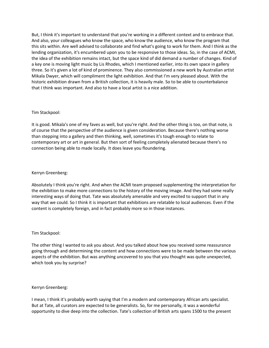But, I think it's important to understand that you're working in a different context and to embrace that. And also, your colleagues who know the space, who know the audience, who know the program that this sits within. Are well advised to collaborate and find what's going to work for them. And I think as the lending organization, it's encumbered upon you to be responsive to those ideas. So, in the case of ACMI, the idea of the exhibition remains intact, but the space kind of did demand a number of changes. Kind of a key one is moving light music by Lis Rhodes, which I mentioned earlier, into its own space in gallery three. So it's given a lot of kind of prominence. They also commissioned a new work by Australian artist Mikala Dwyer, which will compliment the light exhibition. And that I'm very pleased about. With the historic exhibition drawn from a British collection, it is heavily male. So to be able to counterbalance that I think was important. And also to have a local artist is a nice addition.

# Tim Stackpool:

It is good. Mikala's one of my faves as well, but you're right. And the other thing is too, on that note, is of course that the perspective of the audience is given consideration. Because there's nothing worse than stepping into a gallery and then thinking, well, sometimes it's tough enough to relate to contemporary art or art in general. But then sort of feeling completely alienated because there's no connection being able to made locally. It does leave you floundering.

### Kerryn Greenberg:

Absolutely I think you're right. And when the ACMI team proposed supplementing the interpretation for the exhibition to make more connections to the history of the moving image. And they had some really interesting ways of doing that. Tate was absolutely amenable and very excited to support that in any way that we could. So I think it is important that exhibitions are relatable to local audiences. Even if the content is completely foreign, and in fact probably more so in those instances.

#### Tim Stackpool:

The other thing I wanted to ask you about. And you talked about how you received some reassurance going through and determining the content and how connections were to be made between the various aspects of the exhibition. But was anything uncovered to you that you thought was quite unexpected, which took you by surprise?

#### Kerryn Greenberg:

I mean, I think it's probably worth saying that I'm a modern and contemporary African arts specialist. But at Tate, all curators are expected to be generalists. So, for me personally, it was a wonderful opportunity to dive deep into the collection. Tate's collection of British arts spans 1500 to the present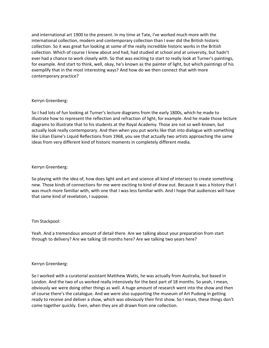and international art 1900 to the present. In my time at Tate, I've worked much more with the international collection, modern and contemporary collection than I ever did the British historic collection. So it was great fun looking at some of the really incredible historic works in the British collection. Which of course I knew about and had, had studied at school and at university, but hadn't ever had a chance to work closely with. So that was exciting to start to really look at Turner's paintings, for example. And start to think, well, okay, he's known as the painter of light, but which paintings of his exemplify that in the most interesting ways? And how do we then connect that with more contemporary practice?

### Kerryn Greenberg:

So I had lots of fun looking at Turner's lecture diagrams from the early 1800s, which he made to illustrate how to represent the reflection and refraction of light, for example. And he made those lecture diagrams to illustrate that to his students at the Royal Academy. Those are not so well-known, but actually look really contemporary. And then when you put works like that into dialogue with something like Lilian Elaine's Liquid Reflections from 1968, you see that actually two artists approaching the same ideas from very different kind of historic moments in completely different media.

# Kerryn Greenberg:

So playing with the idea of, how does light and art and science all kind of intersect to create something new. Those kinds of connections for me were exciting to kind of draw out. Because it was a history that I was much more familiar with, with one that I was less familiar with. And I hope that audiences will have that same kind of revelation, I suppose.

# Tim Stackpool:

Yeah. And a tremendous amount of detail there. Are we talking about your preparation from start through to delivery? Are we talking 18 months here? Are we talking two years here?

# Kerryn Greenberg:

So I worked with a curatorial assistant Matthew Watts, he was actually from Australia, but based in London. And the two of us worked really intensively for the best part of 18 months. So yeah, I mean, obviously we were doing other things as well. A huge amount of research went into the show and then of course there's the catalogue. And we were also supporting the museum of Art Pudong in getting ready to receive and deliver a show, which was obviously their first show. So I mean, these things don't come together quickly. Even, when they are all drawn from one collection.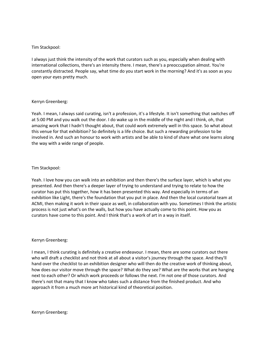# Tim Stackpool:

I always just think the intensity of the work that curators such as you, especially when dealing with international collections, there's an intensity there. I mean, there's a preoccupation almost. You're constantly distracted. People say, what time do you start work in the morning? And it's as soon as you open your eyes pretty much.

# Kerryn Greenberg:

Yeah. I mean, I always said curating, isn't a profession, it's a lifestyle. It isn't something that switches off at 5:00 PM and you walk out the door. I do wake up in the middle of the night and I think, oh, that amazing work that I hadn't thought about, that could work extremely well in this space. So what about this venue for that exhibition? So definitely is a life choice. But such a rewarding profession to be involved in. And such an honour to work with artists and be able to kind of share what one learns along the way with a wide range of people.

# Tim Stackpool:

Yeah. I love how you can walk into an exhibition and then there's the surface layer, which is what you presented. And then there's a deeper layer of trying to understand and trying to relate to how the curator has put this together, how it has been presented this way. And especially in terms of an exhibition like Light, there's the foundation that you put in place. And then the local curatorial team at ACMI, then making it work in their space as well, in collaboration with you. Sometimes I think the artistic process is not just what's on the walls, but how you have actually come to this point. How you as curators have come to this point. And I think that's a work of art in a way in itself.

# Kerryn Greenberg:

I mean, I think curating is definitely a creative endeavour. I mean, there are some curators out there who will draft a checklist and not think at all about a visitor's journey through the space. And they'll hand over the checklist to an exhibition designer who will then do the creative work of thinking about, how does our visitor move through the space? What do they see? What are the works that are hanging next to each other? Or which work proceeds or follows the next. I'm not one of those curators. And there's not that many that I know who takes such a distance from the finished product. And who approach it from a much more art historical kind of theoretical position.